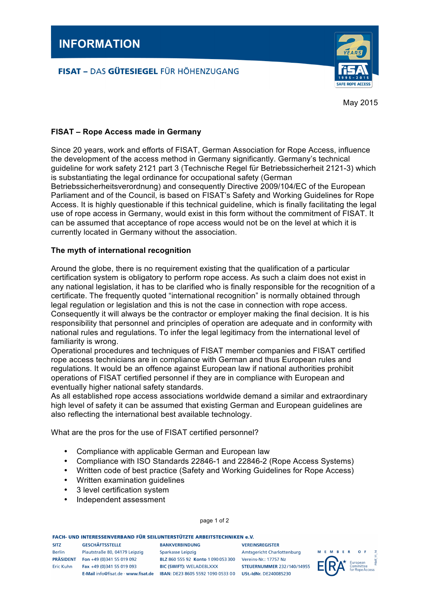# **FISAT - DAS GÜTESIEGEL FÜR HÖHENZUGANG**



May 2015

## **FISAT – Rope Access made in Germany**

Since 20 years, work and efforts of FISAT, German Association for Rope Access, influence the development of the access method in Germany significantly. Germany's technical guideline for work safety 2121 part 3 (Technische Regel für Betriebssicherheit 2121-3) which is substantiating the legal ordinance for occupational safety (German Betriebssicherheitsverordnung) and consequently Directive 2009/104/EC of the European Parliament and of the Council, is based on FISAT's Safety and Working Guidelines for Rope Access. It is highly questionable if this technical guideline, which is finally facilitating the legal use of rope access in Germany, would exist in this form without the commitment of FISAT. It can be assumed that acceptance of rope access would not be on the level at which it is currently located in Germany without the association.

### **The myth of international recognition**

Around the globe, there is no requirement existing that the qualification of a particular certification system is obligatory to perform rope access. As such a claim does not exist in any national legislation, it has to be clarified who is finally responsible for the recognition of a certificate. The frequently quoted "international recognition" is normally obtained through legal regulation or legislation and this is not the case in connection with rope access. Consequently it will always be the contractor or employer making the final decision. It is his responsibility that personnel and principles of operation are adequate and in conformity with national rules and regulations. To infer the legal legitimacy from the international level of familiarity is wrong.

Operational procedures and techniques of FISAT member companies and FISAT certified rope access technicians are in compliance with German and thus European rules and regulations. It would be an offence against European law if national authorities prohibit operations of FISAT certified personnel if they are in compliance with European and eventually higher national safety standards.

As all established rope access associations worldwide demand a similar and extraordinary high level of safety it can be assumed that existing German and European guidelines are also reflecting the international best available technology.

What are the pros for the use of FISAT certified personnel?

- Compliance with applicable German and European law
- Compliance with ISO Standards 22846-1 and 22846-2 (Rope Access Systems)
- Written code of best practice (Safety and Working Guidelines for Rope Access)
- Written examination guidelines
- 3 level certification system
- Independent assessment

### page 1 of 2

#### **EACH. UND INTERESSENVERRAND FÜR SEILUNTERSTÜTZTE ARREITSTECHNIKEN & V**

| <b>SITZ</b>      | <b>GESCHÄFTSSTELLE</b>              | <b>BANKVERBINDUNG</b>              | <b>VEREINSREGISTER</b>            |
|------------------|-------------------------------------|------------------------------------|-----------------------------------|
| <b>Berlin</b>    | Plautstraße 80, 04179 Leipzig       | Sparkasse Leipzig                  | <b>Amtsgericht Charlottenburg</b> |
| <b>PRÄSIDENT</b> | Fon +49 (0)341 55 019 092           | BLZ 860 555 92 Konto 1 090 053 300 | Vereins-Nr.: 17757 Nz             |
| <b>Eric Kuhn</b> | Fax +49 (0)341 55 019 093           | <b>BIC (SWIFT): WELADE8LXXX</b>    | <b>STEUERNUMMER 232/140/14955</b> |
|                  | E-Mail info@fisat.de · www.fisat.de | IBAN: DE23 8605 5592 1090 0533 00  | <b>USt.-IdNr. DE240085230</b>     |

F M R F  $\Omega$